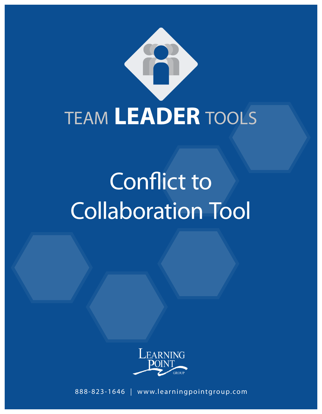

# Conflict to Collaboration Tool



888-823-1646 | www.learningpointgroup.com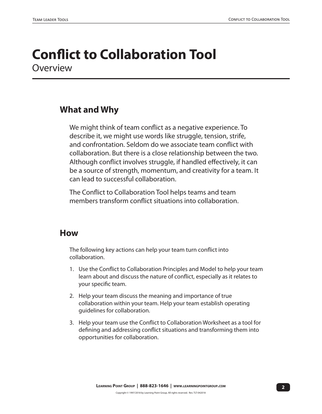### **Conflict to Collaboration Tool Overview**

#### **What and Why**

We might think of team conflict as a negative experience. To describe it, we might use words like struggle, tension, strife, and confrontation. Seldom do we associate team conflict with collaboration. But there is a close relationship between the two. Although conflict involves struggle, if handled effectively, it can be a source of strength, momentum, and creativity for a team. It can lead to successful collaboration.

The Conflict to Collaboration Tool helps teams and team members transform conflict situations into collaboration.

#### **How**

The following key actions can help your team turn conflict into collaboration.

- 1. Use the Conflict to Collaboration Principles and Model to help your team learn about and discuss the nature of conflict, especially as it relates to your specific team.
- 2. Help your team discuss the meaning and importance of true collaboration within your team. Help your team establish operating guidelines for collaboration.
- 3. Help your team use the Conflict to Collaboration Worksheet as a tool for defining and addressing conflict situations and transforming them into opportunities for collaboration.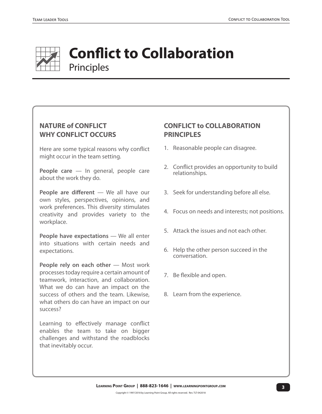

## **Conflict to Collaboration** Principles

#### **NATURE of CONFLICT WHY CONFLICT OCCURS**

Here are some typical reasons why conflict might occur in the team setting.

People care - In general, people care about the work they do.

**People are different** — We all have our own styles, perspectives, opinions, and work preferences. This diversity stimulates creativity and provides variety to the workplace.

**People have expectations** — We all enter into situations with certain needs and expectations.

**People rely on each other** — Most work processes today require a certain amount of teamwork, interaction, and collaboration. What we do can have an impact on the success of others and the team. Likewise, what others do can have an impact on our success?

Learning to effectively manage conflict enables the team to take on bigger challenges and withstand the roadblocks that inevitably occur.

#### **CONFLICT to COLLABORATION PRINCIPLES**

- 1. Reasonable people can disagree.
- 2. Conflict provides an opportunity to build relationships.
- 3. Seek for understanding before all else.
- 4. Focus on needs and interests; not positions.
- 5. Attack the issues and not each other.
- 6. Help the other person succeed in the conversation.
- 7. Be flexible and open.
- 8. Learn from the experience.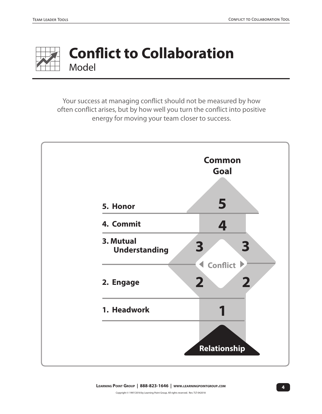

## **Conflict to Collaboration** Model

Your success at managing conflict should not be measured by how often conflict arises, but by how well you turn the conflict into positive energy for moving your team closer to success.

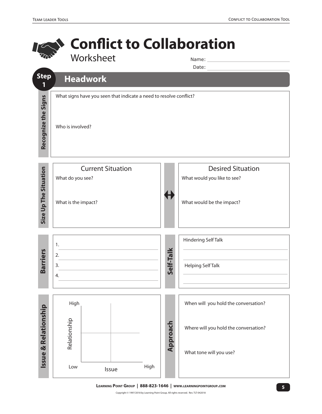![](_page_4_Picture_2.jpeg)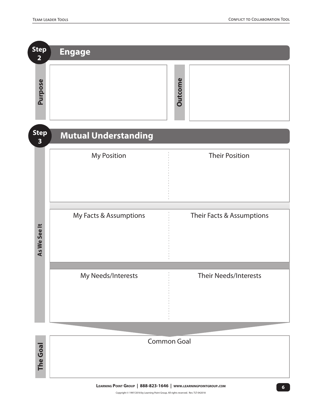**The Goal**

**The Goal** 

| <b>Step</b><br>$\overline{2}$          | <b>Engage</b>               |         |                              |
|----------------------------------------|-----------------------------|---------|------------------------------|
| Purpose                                |                             | Outcome |                              |
| <b>Step</b><br>$\overline{\mathbf{3}}$ | <b>Mutual Understanding</b> |         |                              |
|                                        | <b>My Position</b>          |         | <b>Their Position</b>        |
| As We See It                           | My Facts & Assumptions      |         | Their Facts & Assumptions    |
|                                        | My Needs/Interests          |         | <b>Their Needs/Interests</b> |

![](_page_5_Figure_3.jpeg)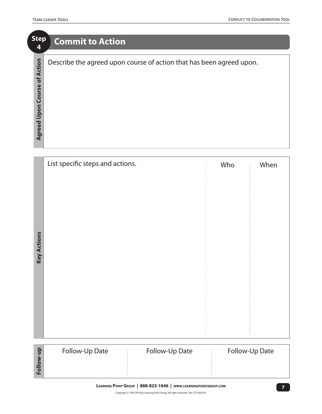| <b>Step</b><br>4                      | <b>Commit to Action</b>                                              |
|---------------------------------------|----------------------------------------------------------------------|
| of Action<br>Course<br>Upon<br>Agreed | Describe the agreed upon course of action that has been agreed upon. |

|                    | List specific steps and actions. | Who | When           |
|--------------------|----------------------------------|-----|----------------|
|                    |                                  |     |                |
|                    |                                  |     |                |
|                    |                                  |     |                |
|                    |                                  |     |                |
| <b>Key Actions</b> |                                  |     |                |
|                    |                                  |     |                |
|                    |                                  |     |                |
|                    |                                  |     |                |
|                    |                                  |     |                |
|                    |                                  |     |                |
|                    |                                  |     |                |
|                    | Follow-Up Date<br>Follow-Up Date |     | Follow-Up Date |
| Follow-up          |                                  |     |                |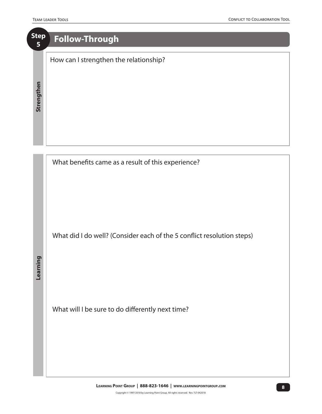## **Step <sup>5</sup> Follow-Through** How can I strengthen the relationship? Strengthen **Strengthen**

![](_page_7_Figure_3.jpeg)